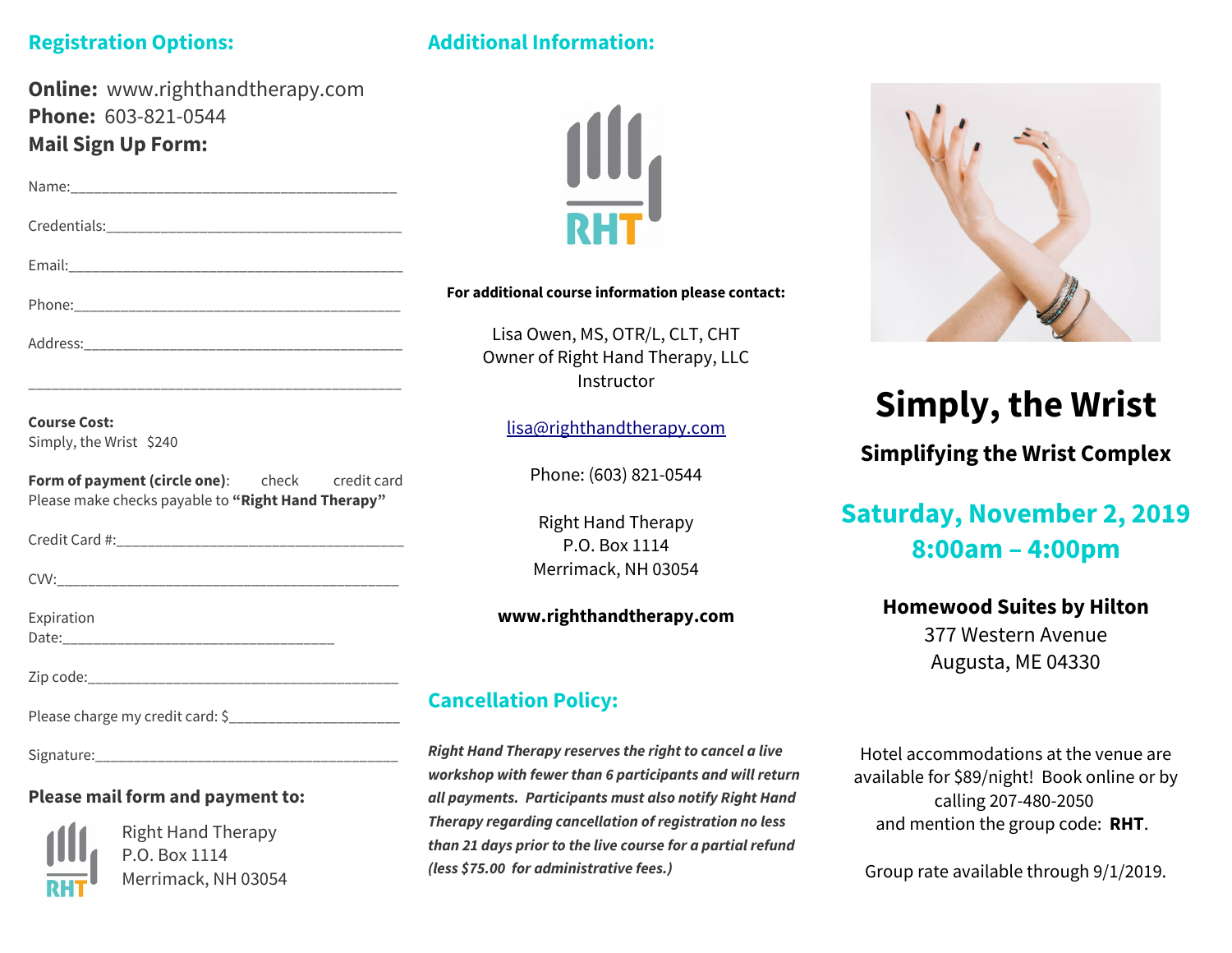### **Registration Options:**

## **Additional Information:**

| <b>Online:</b> www.righthandtherapy.com                                                                         |                                                         |
|-----------------------------------------------------------------------------------------------------------------|---------------------------------------------------------|
| Phone: 603-821-0544                                                                                             |                                                         |
| <b>Mail Sign Up Form:</b>                                                                                       |                                                         |
|                                                                                                                 |                                                         |
|                                                                                                                 |                                                         |
|                                                                                                                 |                                                         |
|                                                                                                                 | For additional course information please contact:       |
|                                                                                                                 | Lisa Owen, MS, OTR/L, CLT, CHT                          |
|                                                                                                                 | Owner of Right Hand Therapy, LLC                        |
|                                                                                                                 | Instructor                                              |
| <b>Course Cost:</b>                                                                                             | lisa@righthandtherapy.com                               |
| Simply, the Wrist \$240                                                                                         |                                                         |
| Form of payment (circle one): check credit card                                                                 | Phone: (603) 821-0544                                   |
| Please make checks payable to "Right Hand Therapy"                                                              |                                                         |
|                                                                                                                 | <b>Right Hand Therapy</b>                               |
|                                                                                                                 | P.O. Box 1114                                           |
|                                                                                                                 | Merrimack, NH 03054                                     |
| Expiration                                                                                                      | www.righthandtherapy.com                                |
|                                                                                                                 |                                                         |
|                                                                                                                 |                                                         |
| Please charge my credit card: \$__________________________                                                      | <b>Cancellation Policy:</b>                             |
|                                                                                                                 | Right Hand Therapy reserves the right to cancel a live  |
| the contract of the contract of the contract of the contract of the contract of the contract of the contract of | workshop with fewer than 6 participants and will return |

#### **Please mail form and payment to:**



Right Hand Therapy P.O. Box 1114 Merrimack, NH 03054



**Therapy regarding cancellation of registration no less than 21 days prior to the live course for a partial refund (less \$75.00 for administrative fees.)**



# **Simply, the Wrist**

**Simplifying the Wrist Complex**

# **Saturday, November 2, 2019 8:00am – 4:00pm**

#### **Homewood Suites by Hilton**

377 Western Avenue Augusta, ME 04330

Hotel accommodations at the venue are available for \$89/night! Book online or by calling 207-480-2050 and mention the group code: **RHT**.

Group rate available through 9/1/2019.